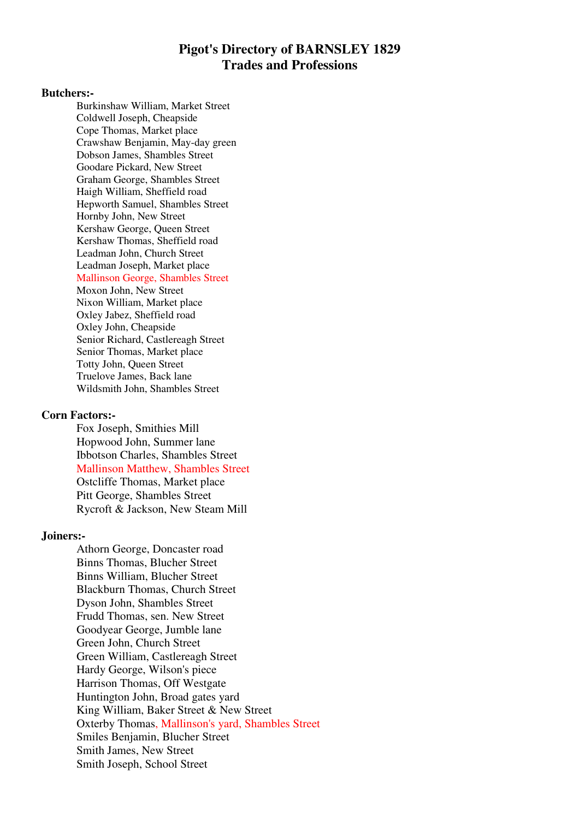# **Pigot's Directory of BARNSLEY 1829 Trades and Professions**

#### **Butchers:-**

Burkinshaw William, Market Street Coldwell Joseph, Cheapside Cope Thomas, Market place Crawshaw Benjamin, May-day green Dobson James, Shambles Street Goodare Pickard, New Street Graham George, Shambles Street Haigh William, Sheffield road Hepworth Samuel, Shambles Street Hornby John, New Street Kershaw George, Queen Street Kershaw Thomas, Sheffield road Leadman John, Church Street Leadman Joseph, Market place Mallinson George, Shambles Street Moxon John, New Street Nixon William, Market place Oxley Jabez, Sheffield road Oxley John, Cheapside Senior Richard, Castlereagh Street Senior Thomas, Market place

Totty John, Queen Street Truelove James, Back lane Wildsmith John, Shambles Street

### **Corn Factors:-**

Fox Joseph, Smithies Mill Hopwood John, Summer lane Ibbotson Charles, Shambles Street Mallinson Matthew, Shambles Street Ostcliffe Thomas, Market place Pitt George, Shambles Street Rycroft & Jackson, New Steam Mill

#### **Joiners:-**

Athorn George, Doncaster road Binns Thomas, Blucher Street Binns William, Blucher Street Blackburn Thomas, Church Street Dyson John, Shambles Street Frudd Thomas, sen. New Street Goodyear George, Jumble lane Green John, Church Street Green William, Castlereagh Street Hardy George, Wilson's piece Harrison Thomas, Off Westgate Huntington John, Broad gates yard King William, Baker Street & New Street Oxterby Thomas, Mallinson's yard, Shambles Street Smiles Benjamin, Blucher Street Smith James, New Street Smith Joseph, School Street